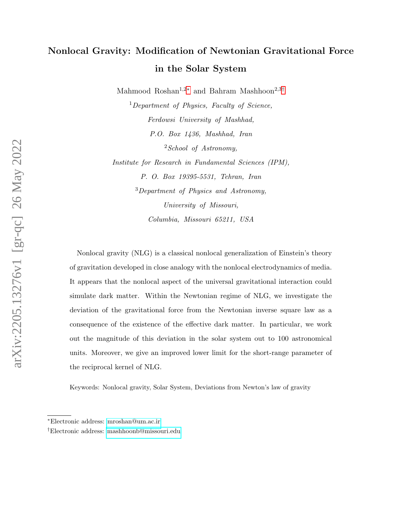# Nonlocal Gravity: Modification of Newtonian Gravitational Force in the Solar System

Mahmood Roshan<sup>1,2[∗](#page-0-0)</sup> and Bahram Mashhoon<sup>2,3[†](#page-0-1)</sup>

 $1$ Department of Physics, Faculty of Science, Ferdowsi University of Mashhad, P.O. Box 1436, Mashhad, Iran <sup>2</sup>School of Astronomy,

Institute for Research in Fundamental Sciences (IPM), P. O. Box 19395-5531, Tehran, Iran <sup>3</sup>Department of Physics and Astronomy, University of Missouri,

Columbia, Missouri 65211, USA

Nonlocal gravity (NLG) is a classical nonlocal generalization of Einstein's theory of gravitation developed in close analogy with the nonlocal electrodynamics of media. It appears that the nonlocal aspect of the universal gravitational interaction could simulate dark matter. Within the Newtonian regime of NLG, we investigate the deviation of the gravitational force from the Newtonian inverse square law as a consequence of the existence of the effective dark matter. In particular, we work out the magnitude of this deviation in the solar system out to 100 astronomical units. Moreover, we give an improved lower limit for the short-range parameter of the reciprocal kernel of NLG.

Keywords: Nonlocal gravity, Solar System, Deviations from Newton's law of gravity

<span id="page-0-1"></span><span id="page-0-0"></span><sup>∗</sup>Electronic address: [mroshan@um.ac.ir](mailto:mroshan@um.ac.ir)

<sup>†</sup>Electronic address: [mashhoonb@missouri.edu](mailto:mashhoonb@missouri.edu)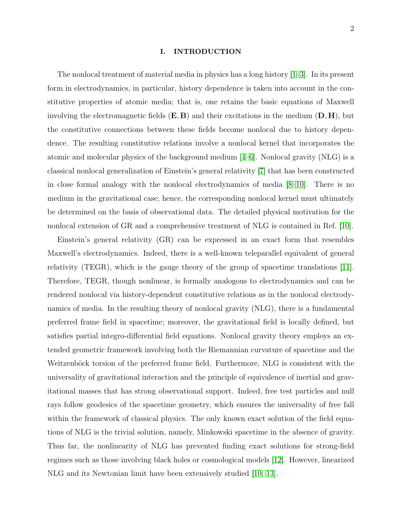## I. INTRODUCTION

The nonlocal treatment of material media in physics has a long history [\[1–](#page-23-0)[3\]](#page-23-1). In its present form in electrodynamics, in particular, history dependence is taken into account in the constitutive properties of atomic media; that is, one retains the basic equations of Maxwell involving the electromagnetic fields  $(E, B)$  and their excitations in the medium  $(D, H)$ , but the constitutive connections between these fields become nonlocal due to history dependence. The resulting constitutive relations involve a nonlocal kernel that incorporates the atomic and molecular physics of the background medium [\[4–](#page-23-2)[6\]](#page-23-3). Nonlocal gravity (NLG) is a classical nonlocal generalization of Einstein's general relativity [\[7\]](#page-23-4) that has been constructed in close formal analogy with the nonlocal electrodynamics of media [\[8–](#page-23-5)[10\]](#page-23-6). There is no medium in the gravitational case; hence, the corresponding nonlocal kernel must ultimately be determined on the basis of observational data. The detailed physical motivation for the nonlocal extension of GR and a comprehensive treatment of NLG is contained in Ref. [\[10\]](#page-23-6).

Einstein's general relativity (GR) can be expressed in an exact form that resembles Maxwell's electrodynamics. Indeed, there is a well-known teleparallel equivalent of general relativity (TEGR), which is the gauge theory of the group of spacetime translations [\[11\]](#page-23-7). Therefore, TEGR, though nonlinear, is formally analogous to electrodynamics and can be rendered nonlocal via history-dependent constitutive relations as in the nonlocal electrodynamics of media. In the resulting theory of nonlocal gravity (NLG), there is a fundamental preferred frame field in spacetime; moreover, the gravitational field is locally defined, but satisfies partial integro-differential field equations. Nonlocal gravity theory employs an extended geometric framework involving both the Riemannian curvature of spacetime and the Weitzenböck torsion of the preferred frame field. Furthermore, NLG is consistent with the universality of gravitational interaction and the principle of equivalence of inertial and gravitational masses that has strong observational support. Indeed, free test particles and null rays follow geodesics of the spacetime geometry, which ensures the universality of free fall within the framework of classical physics. The only known exact solution of the field equations of NLG is the trivial solution, namely, Minkowski spacetime in the absence of gravity. Thus far, the nonlinearity of NLG has prevented finding exact solutions for strong-field regimes such as those involving black holes or cosmological models [\[12\]](#page-23-8). However, linearized NLG and its Newtonian limit have been extensively studied [\[10,](#page-23-6) [13\]](#page-23-9).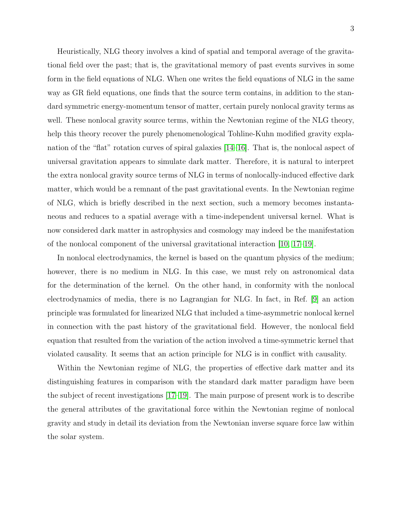Heuristically, NLG theory involves a kind of spatial and temporal average of the gravitational field over the past; that is, the gravitational memory of past events survives in some form in the field equations of NLG. When one writes the field equations of NLG in the same way as GR field equations, one finds that the source term contains, in addition to the standard symmetric energy-momentum tensor of matter, certain purely nonlocal gravity terms as well. These nonlocal gravity source terms, within the Newtonian regime of the NLG theory, help this theory recover the purely phenomenological Tohline-Kuhn modified gravity explanation of the "flat" rotation curves of spiral galaxies [\[14–](#page-23-10)[16\]](#page-24-0). That is, the nonlocal aspect of universal gravitation appears to simulate dark matter. Therefore, it is natural to interpret the extra nonlocal gravity source terms of NLG in terms of nonlocally-induced effective dark matter, which would be a remnant of the past gravitational events. In the Newtonian regime of NLG, which is briefly described in the next section, such a memory becomes instantaneous and reduces to a spatial average with a time-independent universal kernel. What is now considered dark matter in astrophysics and cosmology may indeed be the manifestation of the nonlocal component of the universal gravitational interaction  $[10, 17-19]$  $[10, 17-19]$  $[10, 17-19]$ .

In nonlocal electrodynamics, the kernel is based on the quantum physics of the medium; however, there is no medium in NLG. In this case, we must rely on astronomical data for the determination of the kernel. On the other hand, in conformity with the nonlocal electrodynamics of media, there is no Lagrangian for NLG. In fact, in Ref. [\[9\]](#page-23-11) an action principle was formulated for linearized NLG that included a time-asymmetric nonlocal kernel in connection with the past history of the gravitational field. However, the nonlocal field equation that resulted from the variation of the action involved a time-symmetric kernel that violated causality. It seems that an action principle for NLG is in conflict with causality.

Within the Newtonian regime of NLG, the properties of effective dark matter and its distinguishing features in comparison with the standard dark matter paradigm have been the subject of recent investigations [\[17](#page-24-1)[–19\]](#page-24-2). The main purpose of present work is to describe the general attributes of the gravitational force within the Newtonian regime of nonlocal gravity and study in detail its deviation from the Newtonian inverse square force law within the solar system.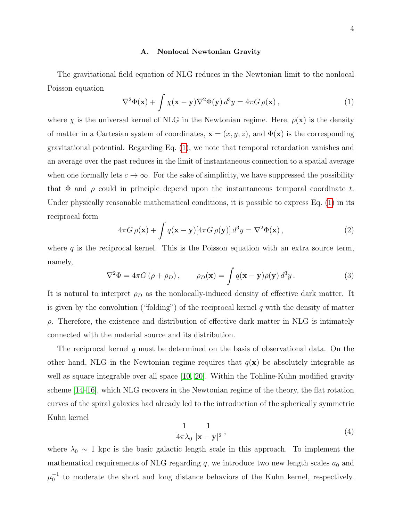### A. Nonlocal Newtonian Gravity

The gravitational field equation of NLG reduces in the Newtonian limit to the nonlocal Poisson equation

<span id="page-3-0"></span>
$$
\nabla^2 \Phi(\mathbf{x}) + \int \chi(\mathbf{x} - \mathbf{y}) \nabla^2 \Phi(\mathbf{y}) d^3 y = 4\pi G \rho(\mathbf{x}), \qquad (1)
$$

where  $\chi$  is the universal kernel of NLG in the Newtonian regime. Here,  $\rho(\mathbf{x})$  is the density of matter in a Cartesian system of coordinates,  $\mathbf{x} = (x, y, z)$ , and  $\Phi(\mathbf{x})$  is the corresponding gravitational potential. Regarding Eq. [\(1\)](#page-3-0), we note that temporal retardation vanishes and an average over the past reduces in the limit of instantaneous connection to a spatial average when one formally lets  $c \to \infty$ . For the sake of simplicity, we have suppressed the possibility that  $\Phi$  and  $\rho$  could in principle depend upon the instantaneous temporal coordinate t. Under physically reasonable mathematical conditions, it is possible to express Eq. [\(1\)](#page-3-0) in its reciprocal form

$$
4\pi G \rho(\mathbf{x}) + \int q(\mathbf{x} - \mathbf{y}) [4\pi G \rho(\mathbf{y})] d^3 y = \nabla^2 \Phi(\mathbf{x}), \qquad (2)
$$

where  $q$  is the reciprocal kernel. This is the Poisson equation with an extra source term, namely,

<span id="page-3-1"></span>
$$
\nabla^2 \Phi = 4\pi G \left( \rho + \rho_D \right), \qquad \rho_D(\mathbf{x}) = \int q(\mathbf{x} - \mathbf{y}) \rho(\mathbf{y}) d^3 y. \tag{3}
$$

It is natural to interpret  $\rho_D$  as the nonlocally-induced density of effective dark matter. It is given by the convolution ("folding") of the reciprocal kernel q with the density of matter  $\rho$ . Therefore, the existence and distribution of effective dark matter in NLG is intimately connected with the material source and its distribution.

The reciprocal kernel q must be determined on the basis of observational data. On the other hand, NLG in the Newtonian regime requires that  $q(\mathbf{x})$  be absolutely integrable as well as square integrable over all space [\[10,](#page-23-6) [20\]](#page-24-3). Within the Tohline-Kuhn modified gravity scheme [\[14](#page-23-10)[–16\]](#page-24-0), which NLG recovers in the Newtonian regime of the theory, the flat rotation curves of the spiral galaxies had already led to the introduction of the spherically symmetric Kuhn kernel

$$
\frac{1}{4\pi\lambda_0} \frac{1}{|\mathbf{x} - \mathbf{y}|^2},\tag{4}
$$

where  $\lambda_0 \sim 1$  kpc is the basic galactic length scale in this approach. To implement the mathematical requirements of NLG regarding  $q$ , we introduce two new length scales  $a_0$  and  $\mu_0^{-1}$  to moderate the short and long distance behaviors of the Kuhn kernel, respectively.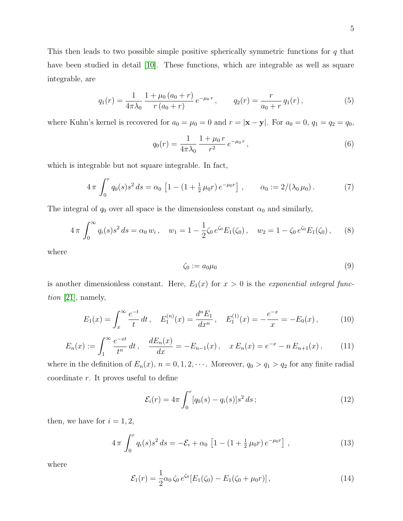This then leads to two possible simple positive spherically symmetric functions for  $q$  that have been studied in detail [\[10\]](#page-23-6). These functions, which are integrable as well as square integrable, are

$$
q_1(r) = \frac{1}{4\pi\lambda_0} \frac{1 + \mu_0 (a_0 + r)}{r (a_0 + r)} e^{-\mu_0 r}, \qquad q_2(r) = \frac{r}{a_0 + r} q_1(r), \qquad (5)
$$

where Kuhn's kernel is recovered for  $a_0 = \mu_0 = 0$  and  $r = |\mathbf{x} - \mathbf{y}|$ . For  $a_0 = 0$ ,  $q_1 = q_2 = q_0$ ,

$$
q_0(r) = \frac{1}{4\pi\lambda_0} \frac{1 + \mu_0 r}{r^2} e^{-\mu_0 r},
$$
\n(6)

which is integrable but not square integrable. In fact,

$$
4\pi \int_0^r q_0(s)s^2 ds = \alpha_0 \left[ 1 - (1 + \frac{1}{2}\mu_0 r) e^{-\mu_0 r} \right], \qquad \alpha_0 := 2/(\lambda_0 \mu_0).
$$
 (7)

The integral of  $q_0$  over all space is the dimensionless constant  $\alpha_0$  and similarly,

<span id="page-4-0"></span>
$$
4\pi \int_0^\infty q_i(s)s^2 ds = \alpha_0 w_i, \quad w_1 = 1 - \frac{1}{2}\zeta_0 e^{\zeta_0} E_1(\zeta_0), \quad w_2 = 1 - \zeta_0 e^{\zeta_0} E_1(\zeta_0), \tag{8}
$$

where

$$
\zeta_0 := a_0 \mu_0 \tag{9}
$$

is another dimensionless constant. Here,  $E_1(x)$  for  $x > 0$  is the exponential integral function [\[21\]](#page-24-4), namely,

<span id="page-4-3"></span>
$$
E_1(x) = \int_x^{\infty} \frac{e^{-t}}{t} dt, \quad E_1^{(n)}(x) = \frac{d^n E_1}{dx^n}, \quad E_1^{(1)}(x) = -\frac{e^{-x}}{x} = -E_0(x), \quad (10)
$$

$$
E_n(x) := \int_1^\infty \frac{e^{-xt}}{t^n} dt, \quad \frac{dE_n(x)}{dx} = -E_{n-1}(x), \quad x E_n(x) = e^{-x} - n E_{n+1}(x), \tag{11}
$$

where in the definition of  $E_n(x)$ ,  $n = 0, 1, 2, \cdots$ . Moreover,  $q_0 > q_1 > q_2$  for any finite radial coordinate  $r$ . It proves useful to define

$$
\mathcal{E}_i(r) = 4\pi \int_0^r [q_0(s) - q_i(s)]s^2 ds ; \qquad (12)
$$

then, we have for  $i = 1, 2$ ,

<span id="page-4-1"></span>
$$
4\pi \int_0^r q_i(s)s^2 ds = -\mathcal{E}_i + \alpha_0 \left[1 - \left(1 + \frac{1}{2}\mu_0 r\right)e^{-\mu_0 r}\right],\tag{13}
$$

where

<span id="page-4-2"></span>
$$
\mathcal{E}_1(r) = \frac{1}{2}\alpha_0 \zeta_0 e^{\zeta_0} [E_1(\zeta_0) - E_1(\zeta_0 + \mu_0 r)], \qquad (14)
$$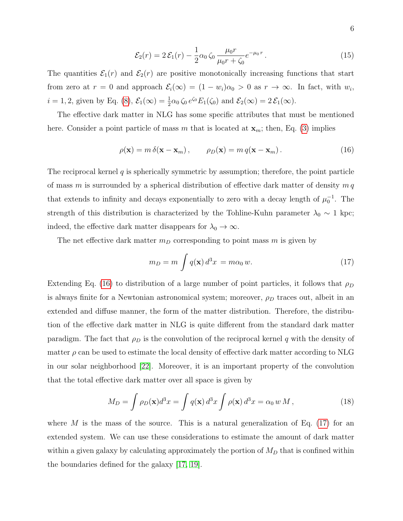<span id="page-5-2"></span>
$$
\mathcal{E}_2(r) = 2\,\mathcal{E}_1(r) - \frac{1}{2}\alpha_0\,\zeta_0\,\frac{\mu_0 r}{\mu_0 r + \zeta_0}e^{-\mu_0\,r}.\tag{15}
$$

The quantities  $\mathcal{E}_1(r)$  and  $\mathcal{E}_2(r)$  are positive monotonically increasing functions that start from zero at  $r = 0$  and approach  $\mathcal{E}_i(\infty) = (1 - w_i)\alpha_0 > 0$  as  $r \to \infty$ . In fact, with  $w_i$ ,  $i = 1, 2$ , given by Eq. [\(8\)](#page-4-0),  $\mathcal{E}_1(\infty) = \frac{1}{2}\alpha_0 \zeta_0 e^{\zeta_0} E_1(\zeta_0)$  and  $\mathcal{E}_2(\infty) = 2\mathcal{E}_1(\infty)$ .

The effective dark matter in NLG has some specific attributes that must be mentioned here. Consider a point particle of mass m that is located at  $\mathbf{x}_m$ ; then, Eq. [\(3\)](#page-3-1) implies

<span id="page-5-0"></span>
$$
\rho(\mathbf{x}) = m \,\delta(\mathbf{x} - \mathbf{x}_m), \qquad \rho_D(\mathbf{x}) = m \,q(\mathbf{x} - \mathbf{x}_m). \tag{16}
$$

The reciprocal kernel q is spherically symmetric by assumption; therefore, the point particle of mass m is surrounded by a spherical distribution of effective dark matter of density  $m q$ that extends to infinity and decays exponentially to zero with a decay length of  $\mu_0^{-1}$ . The strength of this distribution is characterized by the Tohline-Kuhn parameter  $\lambda_0 \sim 1$  kpc; indeed, the effective dark matter disappears for  $\lambda_0 \to \infty$ .

The net effective dark matter  $m_D$  corresponding to point mass m is given by

<span id="page-5-1"></span>
$$
m_D = m \int q(\mathbf{x}) d^3 x = m\alpha_0 w.
$$
 (17)

Extending Eq. [\(16\)](#page-5-0) to distribution of a large number of point particles, it follows that  $\rho_D$ is always finite for a Newtonian astronomical system; moreover,  $\rho_D$  traces out, albeit in an extended and diffuse manner, the form of the matter distribution. Therefore, the distribution of the effective dark matter in NLG is quite different from the standard dark matter paradigm. The fact that  $\rho_D$  is the convolution of the reciprocal kernel q with the density of matter  $\rho$  can be used to estimate the local density of effective dark matter according to NLG in our solar neighborhood [\[22\]](#page-24-5). Moreover, it is an important property of the convolution that the total effective dark matter over all space is given by

$$
M_D = \int \rho_D(\mathbf{x}) d^3x = \int q(\mathbf{x}) d^3x \int \rho(\mathbf{x}) d^3x = \alpha_0 w M,
$$
\n(18)

where M is the mass of the source. This is a natural generalization of Eq.  $(17)$  for an extended system. We can use these considerations to estimate the amount of dark matter within a given galaxy by calculating approximately the portion of  $M<sub>D</sub>$  that is confined within the boundaries defined for the galaxy [\[17,](#page-24-1) [19\]](#page-24-2).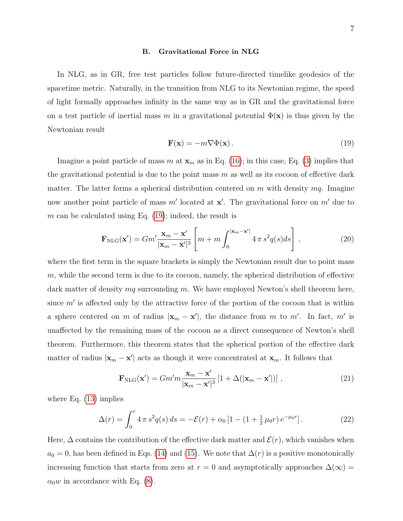#### B. Gravitational Force in NLG

In NLG, as in GR, free test particles follow future-directed timelike geodesics of the spacetime metric. Naturally, in the transition from NLG to its Newtonian regime, the speed of light formally approaches infinity in the same way as in GR and the gravitational force on a test particle of inertial mass m in a gravitational potential  $\Phi(\mathbf{x})$  is thus given by the Newtonian result

<span id="page-6-0"></span>
$$
\mathbf{F}(\mathbf{x}) = -m\nabla\Phi(\mathbf{x}).\tag{19}
$$

Imagine a point particle of mass m at  $\mathbf{x}_m$  as in Eq. [\(16\)](#page-5-0); in this case, Eq. [\(3\)](#page-3-1) implies that the gravitational potential is due to the point mass  $m$  as well as its cocoon of effective dark matter. The latter forms a spherical distribution centered on  $m$  with density  $mq$ . Imagine now another point particle of mass  $m'$  located at  $x'$ . The gravitational force on  $m'$  due to m can be calculated using Eq.  $(19)$ ; indeed, the result is

$$
\mathbf{F}_{\mathrm{NLG}}(\mathbf{x}') = Gm' \frac{\mathbf{x}_m - \mathbf{x}'}{|\mathbf{x}_m - \mathbf{x}'|^3} \left[ m + m \int_0^{|\mathbf{x}_m - \mathbf{x}'|} 4 \pi s^2 q(s) ds \right],
$$
 (20)

where the first term in the square brackets is simply the Newtonian result due to point mass  $m$ , while the second term is due to its cocoon, namely, the spherical distribution of effective dark matter of density  $mg$  surrounding m. We have employed Newton's shell theorem here, since  $m'$  is affected only by the attractive force of the portion of the cocoon that is within a sphere centered on m of radius  $|\mathbf{x}_m - \mathbf{x}'|$ , the distance from m to m'. In fact, m' is unaffected by the remaining mass of the cocoon as a direct consequence of Newton's shell theorem. Furthermore, this theorem states that the spherical portion of the effective dark matter of radius  $|\mathbf{x}_m - \mathbf{x}'|$  acts as though it were concentrated at  $\mathbf{x}_m$ . It follows that

$$
\mathbf{F}_{\mathrm{NLG}}(\mathbf{x}') = Gm'm \frac{\mathbf{x}_m - \mathbf{x}'}{|\mathbf{x}_m - \mathbf{x}'|^3} \left[1 + \Delta(|\mathbf{x}_m - \mathbf{x}'|)\right],\tag{21}
$$

where Eq. [\(13\)](#page-4-1) implies

<span id="page-6-1"></span>
$$
\Delta(r) = \int_0^r 4 \pi s^2 q(s) ds = -\mathcal{E}(r) + \alpha_0 \left[ 1 - \left( 1 + \frac{1}{2} \mu_0 r \right) e^{-\mu_0 r} \right]. \tag{22}
$$

Here,  $\Delta$  contains the contribution of the effective dark matter and  $\mathcal{E}(r)$ , which vanishes when  $a_0 = 0$ , has been defined in Eqs. [\(14\)](#page-4-2) and [\(15\)](#page-5-2). We note that  $\Delta(r)$  is a positive monotonically increasing function that starts from zero at  $r = 0$  and asymptotically approaches  $\Delta(\infty)$  =  $\alpha_0 w$  in accordance with Eq. [\(8\)](#page-4-0).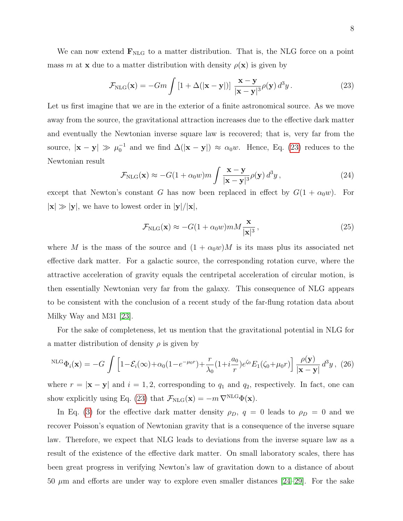We can now extend  $\mathbf{F}_{\text{NLG}}$  to a matter distribution. That is, the NLG force on a point mass m at x due to a matter distribution with density  $\rho(\mathbf{x})$  is given by

<span id="page-7-0"></span>
$$
\mathcal{F}_{\rm NLG}(\mathbf{x}) = -Gm \int \left[1 + \Delta(|\mathbf{x} - \mathbf{y}|)\right] \frac{\mathbf{x} - \mathbf{y}}{|\mathbf{x} - \mathbf{y}|^3} \rho(\mathbf{y}) d^3 y. \tag{23}
$$

Let us first imagine that we are in the exterior of a finite astronomical source. As we move away from the source, the gravitational attraction increases due to the effective dark matter and eventually the Newtonian inverse square law is recovered; that is, very far from the source,  $|\mathbf{x} - \mathbf{y}| \gg \mu_0^{-1}$  and we find  $\Delta(|\mathbf{x} - \mathbf{y}|) \approx \alpha_0 w$ . Hence, Eq. [\(23\)](#page-7-0) reduces to the Newtonian result

$$
\mathcal{F}_{\rm NLG}(\mathbf{x}) \approx -G(1+\alpha_0 w)m \int \frac{\mathbf{x} - \mathbf{y}}{|\mathbf{x} - \mathbf{y}|^3} \rho(\mathbf{y}) d^3 y, \qquad (24)
$$

except that Newton's constant G has now been replaced in effect by  $G(1 + \alpha_0 w)$ . For  $|\mathbf{x}| \gg |\mathbf{y}|$ , we have to lowest order in  $|\mathbf{y}|/|\mathbf{x}|$ ,

$$
\mathcal{F}_{\rm NLG}(\mathbf{x}) \approx -G(1+\alpha_0 w)mM\frac{\mathbf{x}}{|\mathbf{x}|^3},\tag{25}
$$

where M is the mass of the source and  $(1 + \alpha_0 w)M$  is its mass plus its associated net effective dark matter. For a galactic source, the corresponding rotation curve, where the attractive acceleration of gravity equals the centripetal acceleration of circular motion, is then essentially Newtonian very far from the galaxy. This consequence of NLG appears to be consistent with the conclusion of a recent study of the far-flung rotation data about Milky Way and M31 [\[23\]](#page-24-6).

For the sake of completeness, let us mention that the gravitational potential in NLG for a matter distribution of density  $\rho$  is given by

$$
{}^{\text{NLG}}\Phi_i(\mathbf{x}) = -G \int \left[1 - \mathcal{E}_i(\infty) + \alpha_0(1 - e^{-\mu_0 r}) + \frac{r}{\lambda_0}(1 + i\frac{a_0}{r})e^{\zeta_0}E_1(\zeta_0 + \mu_0 r)\right] \frac{\rho(\mathbf{y})}{|\mathbf{x} - \mathbf{y}|} d^3y, \tag{26}
$$

where  $r = |\mathbf{x} - \mathbf{y}|$  and  $i = 1, 2$ , corresponding to  $q_1$  and  $q_2$ , respectively. In fact, one can show explicitly using Eq. [\(23\)](#page-7-0) that  $\mathcal{F}_{\rm NLG}(\mathbf{x}) = -m \, \nabla^{\rm NLG} \Phi(\mathbf{x})$ .

In Eq. [\(3\)](#page-3-1) for the effective dark matter density  $\rho_D$ ,  $q = 0$  leads to  $\rho_D = 0$  and we recover Poisson's equation of Newtonian gravity that is a consequence of the inverse square law. Therefore, we expect that NLG leads to deviations from the inverse square law as a result of the existence of the effective dark matter. On small laboratory scales, there has been great progress in verifying Newton's law of gravitation down to a distance of about 50  $\mu$ m and efforts are under way to explore even smaller distances [\[24–](#page-24-7)[29\]](#page-25-0). For the sake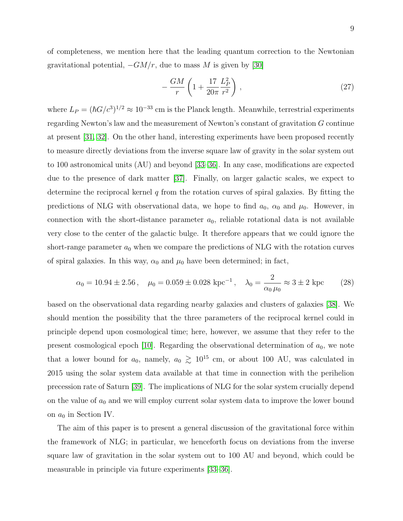of completeness, we mention here that the leading quantum correction to the Newtonian gravitational potential,  $-GM/r$ , due to mass M is given by [\[30\]](#page-25-1)

$$
-\frac{GM}{r}\left(1+\frac{17}{20\pi}\frac{L_P^2}{r^2}\right),
$$
\n(27)

where  $L_P = (\hbar G/c^3)^{1/2} \approx 10^{-33}$  cm is the Planck length. Meanwhile, terrestrial experiments regarding Newton's law and the measurement of Newton's constant of gravitation G continue at present [\[31,](#page-25-2) [32\]](#page-25-3). On the other hand, interesting experiments have been proposed recently to measure directly deviations from the inverse square law of gravity in the solar system out to 100 astronomical units (AU) and beyond [\[33–](#page-25-4)[36\]](#page-25-5). In any case, modifications are expected due to the presence of dark matter [\[37\]](#page-25-6). Finally, on larger galactic scales, we expect to determine the reciprocal kernel q from the rotation curves of spiral galaxies. By fitting the predictions of NLG with observational data, we hope to find  $a_0$ ,  $\alpha_0$  and  $\mu_0$ . However, in connection with the short-distance parameter  $a_0$ , reliable rotational data is not available very close to the center of the galactic bulge. It therefore appears that we could ignore the short-range parameter  $a_0$  when we compare the predictions of NLG with the rotation curves of spiral galaxies. In this way,  $\alpha_0$  and  $\mu_0$  have been determined; in fact,

<span id="page-8-0"></span>
$$
\alpha_0 = 10.94 \pm 2.56
$$
,  $\mu_0 = 0.059 \pm 0.028 \text{ kpc}^{-1}$ ,  $\lambda_0 = \frac{2}{\alpha_0 \mu_0} \approx 3 \pm 2 \text{ kpc}$  (28)

based on the observational data regarding nearby galaxies and clusters of galaxies [\[38\]](#page-25-7). We should mention the possibility that the three parameters of the reciprocal kernel could in principle depend upon cosmological time; here, however, we assume that they refer to the present cosmological epoch [\[10\]](#page-23-6). Regarding the observational determination of  $a_0$ , we note that a lower bound for  $a_0$ , namely,  $a_0 \gtrsim 10^{15}$  cm, or about 100 AU, was calculated in 2015 using the solar system data available at that time in connection with the perihelion precession rate of Saturn [\[39\]](#page-25-8). The implications of NLG for the solar system crucially depend on the value of  $a_0$  and we will employ current solar system data to improve the lower bound on  $a_0$  in Section IV.

The aim of this paper is to present a general discussion of the gravitational force within the framework of NLG; in particular, we henceforth focus on deviations from the inverse square law of gravitation in the solar system out to 100 AU and beyond, which could be measurable in principle via future experiments [\[33](#page-25-4)[–36\]](#page-25-5).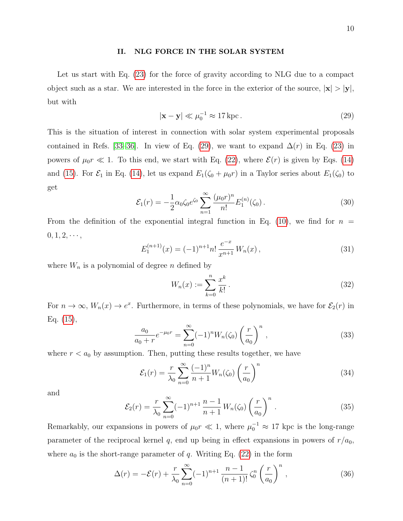## II. NLG FORCE IN THE SOLAR SYSTEM

Let us start with Eq. [\(23\)](#page-7-0) for the force of gravity according to NLG due to a compact object such as a star. We are interested in the force in the exterior of the source,  $|\mathbf{x}| > |\mathbf{y}|$ , but with

<span id="page-9-0"></span>
$$
|\mathbf{x} - \mathbf{y}| \ll \mu_0^{-1} \approx 17 \,\text{kpc} \,. \tag{29}
$$

This is the situation of interest in connection with solar system experimental proposals contained in Refs. [\[33](#page-25-4)[–36\]](#page-25-5). In view of Eq. [\(29\)](#page-9-0), we want to expand  $\Delta(r)$  in Eq. [\(23\)](#page-7-0) in powers of  $\mu_0 r \ll 1$ . To this end, we start with Eq. [\(22\)](#page-6-1), where  $\mathcal{E}(r)$  is given by Eqs. [\(14\)](#page-4-2) and [\(15\)](#page-5-2). For  $\mathcal{E}_1$  in Eq. [\(14\)](#page-4-2), let us expand  $E_1(\zeta_0 + \mu_0 r)$  in a Taylor series about  $E_1(\zeta_0)$  to get

$$
\mathcal{E}_1(r) = -\frac{1}{2}\alpha_0 \zeta_0 e^{\zeta_0} \sum_{n=1}^{\infty} \frac{(\mu_0 r)^n}{n!} E_1^{(n)}(\zeta_0).
$$
 (30)

From the definition of the exponential integral function in Eq. [\(10\)](#page-4-3), we find for  $n =$  $0, 1, 2, \cdots,$ 

$$
E_1^{(n+1)}(x) = (-1)^{n+1} n! \frac{e^{-x}}{x^{n+1}} W_n(x) , \qquad (31)
$$

where  $W_n$  is a polynomial of degree n defined by

$$
W_n(x) := \sum_{k=0}^n \frac{x^k}{k!} \,. \tag{32}
$$

For  $n \to \infty$ ,  $W_n(x) \to e^x$ . Furthermore, in terms of these polynomials, we have for  $\mathcal{E}_2(r)$  in Eq. [\(15\)](#page-5-2),

$$
\frac{a_0}{a_0 + r} e^{-\mu_0 r} = \sum_{n=0}^{\infty} (-1)^n W_n(\zeta_0) \left(\frac{r}{a_0}\right)^n,
$$
\n(33)

where  $r < a_0$  by assumption. Then, putting these results together, we have

$$
\mathcal{E}_1(r) = \frac{r}{\lambda_0} \sum_{n=0}^{\infty} \frac{(-1)^n}{n+1} W_n(\zeta_0) \left(\frac{r}{a_0}\right)^n \tag{34}
$$

and

$$
\mathcal{E}_2(r) = \frac{r}{\lambda_0} \sum_{n=0}^{\infty} (-1)^{n+1} \frac{n-1}{n+1} W_n(\zeta_0) \left(\frac{r}{a_0}\right)^n.
$$
 (35)

Remarkably, our expansions in powers of  $\mu_0 r \ll 1$ , where  $\mu_0^{-1} \approx 17$  kpc is the long-range parameter of the reciprocal kernel q, end up being in effect expansions in powers of  $r/a_0$ , where  $a_0$  is the short-range parameter of q. Writing Eq. [\(22\)](#page-6-1) in the form

$$
\Delta(r) = -\mathcal{E}(r) + \frac{r}{\lambda_0} \sum_{n=0}^{\infty} (-1)^{n+1} \frac{n-1}{(n+1)!} \zeta_0^n \left(\frac{r}{a_0}\right)^n, \tag{36}
$$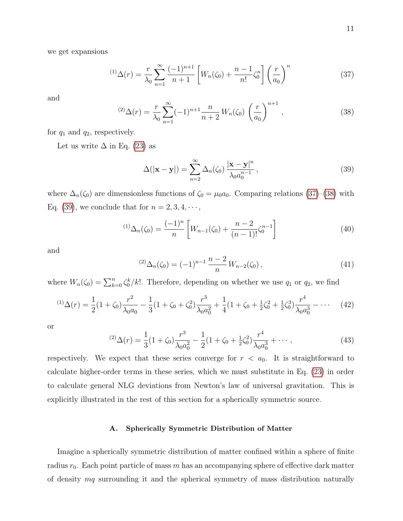we get expansions

<span id="page-10-0"></span>
$$
^{(1)}\Delta(r) = \frac{r}{\lambda_0} \sum_{n=1}^{\infty} \frac{(-1)^{n+1}}{n+1} \left[ W_n(\zeta_0) + \frac{n-1}{n!} \zeta_0^n \right] \left( \frac{r}{a_0} \right)^n \tag{37}
$$

and

<span id="page-10-1"></span>
$$
^{(2)}\Delta(r) = \frac{r}{\lambda_0} \sum_{n=1}^{\infty} (-1)^{n+1} \frac{n}{n+2} W_n(\zeta_0) \left(\frac{r}{a_0}\right)^{n+1}, \qquad (38)
$$

for  $q_1$  and  $q_2$ , respectively.

Let us write  $\Delta$  in Eq. [\(23\)](#page-7-0) as

<span id="page-10-2"></span>
$$
\Delta(|\mathbf{x} - \mathbf{y}|) = \sum_{n=2}^{\infty} \Delta_n(\zeta_0) \frac{|\mathbf{x} - \mathbf{y}|^n}{\lambda_0 a_0^{n-1}},
$$
\n(39)

where  $\Delta_n(\zeta_0)$  are dimensionless functions of  $\zeta_0 = \mu_0 a_0$ . Comparing relations [\(37\)](#page-10-0)–[\(38\)](#page-10-1) with Eq. [\(39\)](#page-10-2), we conclude that for  $n = 2, 3, 4, \dots$ ,

<span id="page-10-5"></span>
$$
^{(1)}\Delta_n(\zeta_0) = \frac{(-1)^n}{n} \left[ W_{n-1}(\zeta_0) + \frac{n-2}{(n-1)!} \zeta_0^{n-1} \right] \tag{40}
$$

and

<span id="page-10-6"></span>
$$
^{(2)}\Delta_n(\zeta_0) = (-1)^{n-1} \frac{n-2}{n} W_{n-2}(\zeta_0), \qquad (41)
$$

where  $W_n(\zeta_0) = \sum_{k=0}^n \zeta_0^k/k!$ . Therefore, depending on whether we use  $q_1$  or  $q_2$ , we find

<span id="page-10-3"></span>
$$
^{(1)}\Delta(r) = \frac{1}{2}(1+\zeta_0)\frac{r^2}{\lambda_0 a_0} - \frac{1}{3}(1+\zeta_0+\zeta_0^2)\frac{r^3}{\lambda_0 a_0^2} + \frac{1}{4}(1+\zeta_0+\frac{1}{2}\zeta_0^2+\frac{1}{2}\zeta_0^3)\frac{r^4}{\lambda_0 a_0^3} - \cdots
$$
 (42)

or

<span id="page-10-4"></span>
$$
^{(2)}\Delta(r) = \frac{1}{3}(1+\zeta_0)\frac{r^3}{\lambda_0 a_0^2} - \frac{1}{2}(1+\zeta_0 + \frac{1}{2}\zeta_0^2)\frac{r^4}{\lambda_0 a_0^3} + \cdots,
$$
\n(43)

respectively. We expect that these series converge for  $r < a_0$ . It is straightforward to calculate higher-order terms in these series, which we must substitute in Eq. [\(23\)](#page-7-0) in order to calculate general NLG deviations from Newton's law of universal gravitation. This is explicitly illustrated in the rest of this section for a spherically symmetric source.

## A. Spherically Symmetric Distribution of Matter

Imagine a spherically symmetric distribution of matter confined within a sphere of finite radius  $r_0$ . Each point particle of mass m has an accompanying sphere of effective dark matter of density mq surrounding it and the spherical symmetry of mass distribution naturally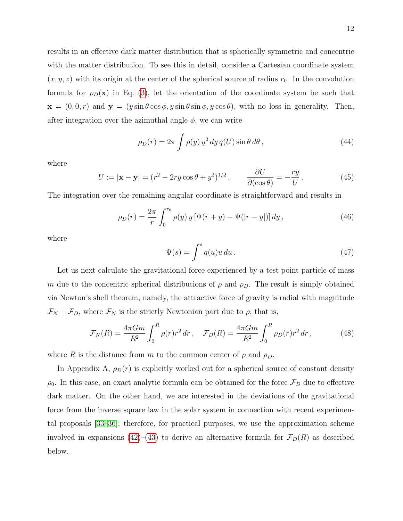results in an effective dark matter distribution that is spherically symmetric and concentric with the matter distribution. To see this in detail, consider a Cartesian coordinate system  $(x, y, z)$  with its origin at the center of the spherical source of radius  $r_0$ . In the convolution formula for  $\rho_D(\mathbf{x})$  in Eq. [\(3\)](#page-3-1), let the orientation of the coordinate system be such that  $\mathbf{x} = (0, 0, r)$  and  $\mathbf{y} = (y \sin \theta \cos \phi, y \sin \theta \sin \phi, y \cos \theta)$ , with no loss in generality. Then, after integration over the azimuthal angle  $\phi$ , we can write

$$
\rho_D(r) = 2\pi \int \rho(y) y^2 dy q(U) \sin \theta d\theta, \qquad (44)
$$

where

$$
U := |\mathbf{x} - \mathbf{y}| = (r^2 - 2ry\cos\theta + y^2)^{1/2}, \qquad \frac{\partial U}{\partial(\cos\theta)} = -\frac{ry}{U}.
$$
 (45)

The integration over the remaining angular coordinate is straightforward and results in

$$
\rho_D(r) = \frac{2\pi}{r} \int_0^{r_0} \rho(y) y \left[ \Psi(r+y) - \Psi(|r-y|) \right] dy, \tag{46}
$$

where

$$
\Psi(s) = \int^s q(u)u \, du \,. \tag{47}
$$

Let us next calculate the gravitational force experienced by a test point particle of mass m due to the concentric spherical distributions of  $\rho$  and  $\rho_D$ . The result is simply obtained via Newton's shell theorem, namely, the attractive force of gravity is radial with magnitude  $\mathcal{F}_N + \mathcal{F}_D$ , where  $\mathcal{F}_N$  is the strictly Newtonian part due to  $\rho$ ; that is,

$$
\mathcal{F}_N(R) = \frac{4\pi Gm}{R^2} \int_0^R \rho(r) r^2 \, dr \,, \quad \mathcal{F}_D(R) = \frac{4\pi Gm}{R^2} \int_0^R \rho_D(r) r^2 \, dr \,, \tag{48}
$$

where R is the distance from m to the common center of  $\rho$  and  $\rho_D$ .

In Appendix A,  $\rho_D(r)$  is explicitly worked out for a spherical source of constant density  $\rho_0$ . In this case, an exact analytic formula can be obtained for the force  $\mathcal{F}_D$  due to effective dark matter. On the other hand, we are interested in the deviations of the gravitational force from the inverse square law in the solar system in connection with recent experimental proposals [\[33](#page-25-4)[–36\]](#page-25-5); therefore, for practical purposes, we use the approximation scheme involved in expansions [\(42\)](#page-10-3)–[\(43\)](#page-10-4) to derive an alternative formula for  $\mathcal{F}_D(R)$  as described below.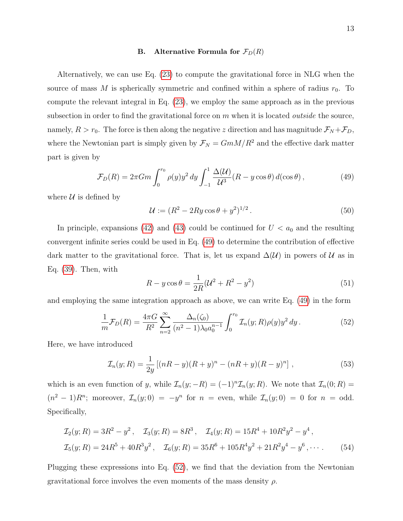# B. Alternative Formula for  $\mathcal{F}_D(R)$

Alternatively, we can use Eq. [\(23\)](#page-7-0) to compute the gravitational force in NLG when the source of mass M is spherically symmetric and confined within a sphere of radius  $r_0$ . To compute the relevant integral in Eq. [\(23\)](#page-7-0), we employ the same approach as in the previous subsection in order to find the gravitational force on  $m$  when it is located *outside* the source, namely,  $R > r_0$ . The force is then along the negative z direction and has magnitude  $\mathcal{F}_N + \mathcal{F}_D$ , where the Newtonian part is simply given by  $\mathcal{F}_N = GmM/R^2$  and the effective dark matter part is given by

<span id="page-12-0"></span>
$$
\mathcal{F}_D(R) = 2\pi G m \int_0^{r_0} \rho(y) y^2 \, dy \int_{-1}^1 \frac{\Delta(\mathcal{U})}{\mathcal{U}^3} (R - y \cos \theta) \, d(\cos \theta) \,, \tag{49}
$$

where  $\mathcal U$  is defined by

$$
\mathcal{U} := (R^2 - 2Ry \cos \theta + y^2)^{1/2}.
$$
\n(50)

In principle, expansions [\(42\)](#page-10-3) and [\(43\)](#page-10-4) could be continued for  $U < a_0$  and the resulting convergent infinite series could be used in Eq. [\(49\)](#page-12-0) to determine the contribution of effective dark matter to the gravitational force. That is, let us expand  $\Delta(\mathcal{U})$  in powers of U as in Eq. [\(39\)](#page-10-2). Then, with

$$
R - y\cos\theta = \frac{1}{2R}(\mathcal{U}^2 + R^2 - y^2)
$$
 (51)

and employing the same integration approach as above, we can write Eq. [\(49\)](#page-12-0) in the form

<span id="page-12-1"></span>
$$
\frac{1}{m}\mathcal{F}_D(R) = \frac{4\pi G}{R^2} \sum_{n=2}^{\infty} \frac{\Delta_n(\zeta_0)}{(n^2 - 1)\lambda_0 a_0^{n-1}} \int_0^{r_0} \mathcal{I}_n(y;R) \rho(y) y^2 dy.
$$
 (52)

Here, we have introduced

$$
\mathcal{I}_n(y;R) = \frac{1}{2y} \left[ (nR - y)(R + y)^n - (nR + y)(R - y)^n \right],\tag{53}
$$

which is an even function of y, while  $\mathcal{I}_n(y; -R) = (-1)^n \mathcal{I}_n(y; R)$ . We note that  $\mathcal{I}_n(0; R) =$  $(n^2-1)R^n$ ; moreover,  $\mathcal{I}_n(y;0) = -y^n$  for  $n =$  even, while  $\mathcal{I}_n(y;0) = 0$  for  $n =$  odd. Specifically,

$$
\mathcal{I}_2(y;R) = 3R^2 - y^2, \quad \mathcal{I}_3(y;R) = 8R^3, \quad \mathcal{I}_4(y;R) = 15R^4 + 10R^2y^2 - y^4,
$$
  

$$
\mathcal{I}_5(y;R) = 24R^5 + 40R^3y^2, \quad \mathcal{I}_6(y;R) = 35R^6 + 105R^4y^2 + 21R^2y^4 - y^6, \dots
$$
 (54)

Plugging these expressions into Eq. [\(52\)](#page-12-1), we find that the deviation from the Newtonian gravitational force involves the even moments of the mass density  $\rho$ .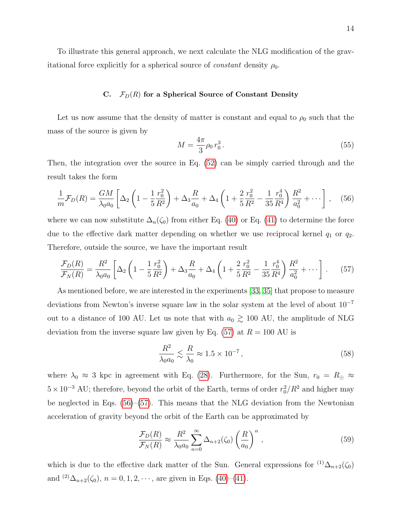To illustrate this general approach, we next calculate the NLG modification of the gravitational force explicitly for a spherical source of *constant* density  $\rho_0$ .

# C.  $\mathcal{F}_D(R)$  for a Spherical Source of Constant Density

Let us now assume that the density of matter is constant and equal to  $\rho_0$  such that the mass of the source is given by

$$
M = \frac{4\pi}{3}\rho_0 r_0^3. \tag{55}
$$

Then, the integration over the source in Eq. [\(52\)](#page-12-1) can be simply carried through and the result takes the form

<span id="page-13-1"></span>
$$
\frac{1}{m}\mathcal{F}_D(R) = \frac{GM}{\lambda_0 a_0} \left[ \Delta_2 \left( 1 - \frac{1}{5} \frac{r_0^2}{R^2} \right) + \Delta_3 \frac{R}{a_0} + \Delta_4 \left( 1 + \frac{2}{5} \frac{r_0^2}{R^2} - \frac{1}{35} \frac{r_0^4}{R^4} \right) \frac{R^2}{a_0^2} + \cdots \right], \quad (56)
$$

where we can now substitute  $\Delta_n(\zeta_0)$  from either Eq. [\(40\)](#page-10-5) or Eq. [\(41\)](#page-10-6) to determine the force due to the effective dark matter depending on whether we use reciprocal kernel  $q_1$  or  $q_2$ . Therefore, outside the source, we have the important result

<span id="page-13-0"></span>
$$
\frac{\mathcal{F}_D(R)}{\mathcal{F}_N(R)} = \frac{R^2}{\lambda_0 a_0} \left[ \Delta_2 \left( 1 - \frac{1}{5} \frac{r_0^2}{R^2} \right) + \Delta_3 \frac{R}{a_0} + \Delta_4 \left( 1 + \frac{2}{5} \frac{r_0^2}{R^2} - \frac{1}{35} \frac{r_0^4}{R^4} \right) \frac{R^2}{a_0^2} + \cdots \right].
$$
 (57)

As mentioned before, we are interested in the experiments [\[33,](#page-25-4) [35\]](#page-25-9) that propose to measure deviations from Newton's inverse square law in the solar system at the level of about 10<sup>−</sup><sup>7</sup> out to a distance of 100 AU. Let us note that with  $a_0 \gtrsim 100$  AU, the amplitude of NLG deviation from the inverse square law given by Eq.  $(57)$  at  $R = 100$  AU is

$$
\frac{R^2}{\lambda_0 a_0} \lesssim \frac{R}{\lambda_0} \approx 1.5 \times 10^{-7},\tag{58}
$$

where  $\lambda_0 \approx 3$  kpc in agreement with Eq. [\(28\)](#page-8-0). Furthermore, for the Sun,  $r_0 = R_{\odot} \approx$  $5 \times 10^{-3}$  AU; therefore, beyond the orbit of the Earth, terms of order  $r_0^2/R^2$  and higher may be neglected in Eqs. [\(56\)](#page-13-1)–[\(57\)](#page-13-0). This means that the NLG deviation from the Newtonian acceleration of gravity beyond the orbit of the Earth can be approximated by

<span id="page-13-2"></span>
$$
\frac{\mathcal{F}_D(R)}{\mathcal{F}_N(R)} \approx \frac{R^2}{\lambda_0 a_0} \sum_{n=0}^{\infty} \Delta_{n+2}(\zeta_0) \left(\frac{R}{a_0}\right)^n ,\qquad (59)
$$

which is due to the effective dark matter of the Sun. General expressions for <sup>(1)</sup> $\Delta_{n+2}(\zeta_0)$ and <sup>(2)</sup> $\Delta_{n+2}(\zeta_0)$ ,  $n = 0, 1, 2, \cdots$ , are given in Eqs. [\(40\)](#page-10-5)–[\(41\)](#page-10-6).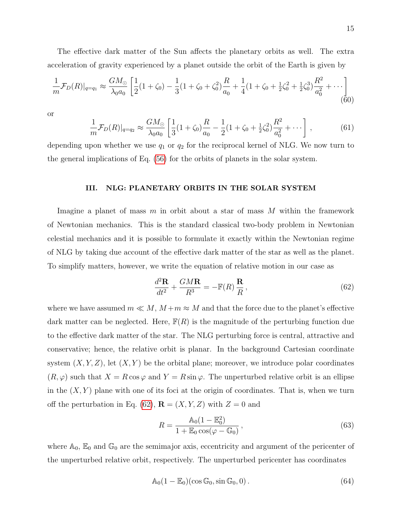The effective dark matter of the Sun affects the planetary orbits as well. The extra acceleration of gravity experienced by a planet outside the orbit of the Earth is given by

$$
\frac{1}{m}\mathcal{F}_D(R)|_{q=q_1} \approx \frac{GM_\odot}{\lambda_0 a_0} \left[ \frac{1}{2} (1+\zeta_0) - \frac{1}{3} (1+\zeta_0 + \zeta_0^2) \frac{R}{a_0} + \frac{1}{4} (1+\zeta_0 + \frac{1}{2}\zeta_0^2 + \frac{1}{2}\zeta_0^3) \frac{R^2}{a_0^2} + \cdots \right] \tag{60}
$$

or

$$
\frac{1}{m}\mathcal{F}_D(R)|_{q=q_2} \approx \frac{GM_\odot}{\lambda_0 a_0} \left[ \frac{1}{3} (1+\zeta_0) \frac{R}{a_0} - \frac{1}{2} (1+\zeta_0 + \frac{1}{2}\zeta_0^2) \frac{R^2}{a_0^2} + \cdots \right],\tag{61}
$$

depending upon whether we use  $q_1$  or  $q_2$  for the reciprocal kernel of NLG. We now turn to the general implications of Eq. [\(56\)](#page-13-1) for the orbits of planets in the solar system.

# III. NLG: PLANETARY ORBITS IN THE SOLAR SYSTEM

Imagine a planet of mass  $m$  in orbit about a star of mass  $M$  within the framework of Newtonian mechanics. This is the standard classical two-body problem in Newtonian celestial mechanics and it is possible to formulate it exactly within the Newtonian regime of NLG by taking due account of the effective dark matter of the star as well as the planet. To simplify matters, however, we write the equation of relative motion in our case as

<span id="page-14-0"></span>
$$
\frac{d^2 \mathbf{R}}{dt^2} + \frac{GM\mathbf{R}}{R^3} = -\mathbb{F}(R)\frac{\mathbf{R}}{R},\qquad(62)
$$

where we have assumed  $m \ll M$ ,  $M + m \approx M$  and that the force due to the planet's effective dark matter can be neglected. Here,  $F(R)$  is the magnitude of the perturbing function due to the effective dark matter of the star. The NLG perturbing force is central, attractive and conservative; hence, the relative orbit is planar. In the background Cartesian coordinate system  $(X, Y, Z)$ , let  $(X, Y)$  be the orbital plane; moreover, we introduce polar coordinates  $(R, \varphi)$  such that  $X = R \cos \varphi$  and  $Y = R \sin \varphi$ . The unperturbed relative orbit is an ellipse in the  $(X, Y)$  plane with one of its foci at the origin of coordinates. That is, when we turn off the perturbation in Eq. [\(62\)](#page-14-0),  $\mathbf{R} = (X, Y, Z)$  with  $Z = 0$  and

<span id="page-14-1"></span>
$$
R = \frac{\mathbb{A}_0 (1 - \mathbb{E}_0^2)}{1 + \mathbb{E}_0 \cos(\varphi - \mathbb{G}_0)},\tag{63}
$$

where  $A_0$ ,  $\mathbb{E}_0$  and  $\mathbb{G}_0$  are the semimajor axis, eccentricity and argument of the pericenter of the unperturbed relative orbit, respectively. The unperturbed pericenter has coordinates

$$
\mathbb{A}_0(1-\mathbb{E}_0)(\cos \mathbb{G}_0, \sin \mathbb{G}_0, 0). \tag{64}
$$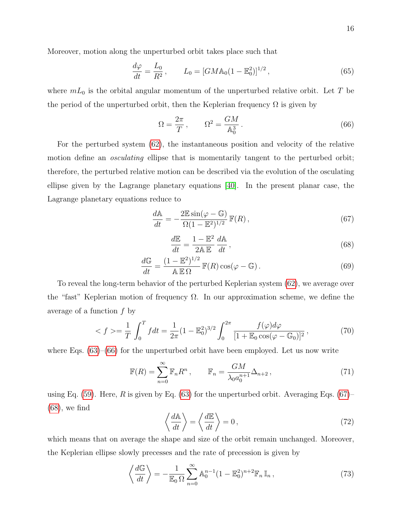Moreover, motion along the unperturbed orbit takes place such that

$$
\frac{d\varphi}{dt} = \frac{L_0}{R^2}, \qquad L_0 = [GM\mathbb{A}_0(1 - \mathbb{E}_0^2)]^{1/2}, \qquad (65)
$$

where  $mL_0$  is the orbital angular momentum of the unperturbed relative orbit. Let T be the period of the unperturbed orbit, then the Keplerian frequency  $\Omega$  is given by

<span id="page-15-0"></span>
$$
\Omega = \frac{2\pi}{T}, \qquad \Omega^2 = \frac{GM}{\mathbb{A}_0^3}.
$$
\n(66)

For the perturbed system [\(62\)](#page-14-0), the instantaneous position and velocity of the relative motion define an *osculating* ellipse that is momentarily tangent to the perturbed orbit; therefore, the perturbed relative motion can be described via the evolution of the osculating ellipse given by the Lagrange planetary equations [\[40\]](#page-26-0). In the present planar case, the Lagrange planetary equations reduce to

<span id="page-15-1"></span>
$$
\frac{d\mathbb{A}}{dt} = -\frac{2\mathbb{E}\sin(\varphi - \mathbb{G})}{\Omega(1 - \mathbb{E}^2)^{1/2}} \mathbb{F}(R) ,\qquad(67)
$$

<span id="page-15-2"></span>
$$
\frac{d\mathbb{E}}{dt} = \frac{1 - \mathbb{E}^2}{2\mathbb{A}\,\mathbb{E}} \frac{d\mathbb{A}}{dt},\tag{68}
$$

$$
\frac{d\mathbb{G}}{dt} = \frac{(1 - \mathbb{E}^2)^{1/2}}{\mathbb{A} \mathbb{E} \Omega} \mathbb{F}(R) \cos(\varphi - \mathbb{G}). \tag{69}
$$

To reveal the long-term behavior of the perturbed Keplerian system [\(62\)](#page-14-0), we average over the "fast" Keplerian motion of frequency Ω. In our approximation scheme, we define the average of a function  $f$  by

$$
\langle f \rangle = \frac{1}{T} \int_0^T f dt = \frac{1}{2\pi} (1 - \mathbb{E}_0^2)^{3/2} \int_0^{2\pi} \frac{f(\varphi) d\varphi}{[1 + \mathbb{E}_0 \cos(\varphi - \mathbb{G}_0)]^2}, \tag{70}
$$

where Eqs.  $(63)$ – $(66)$  for the unperturbed orbit have been employed. Let us now write

$$
\mathbb{F}(R) = \sum_{n=0}^{\infty} \mathbb{F}_n R^n, \qquad \mathbb{F}_n = \frac{GM}{\lambda_0 a_0^{n+1}} \Delta_{n+2}, \tag{71}
$$

using Eq. [\(59\)](#page-13-2). Here, R is given by Eq. [\(63\)](#page-14-1) for the unperturbed orbit. Averaging Eqs. [\(67\)](#page-15-1)–  $(68)$ , we find

$$
\left\langle \frac{d\mathbb{A}}{dt} \right\rangle = \left\langle \frac{d\mathbb{E}}{dt} \right\rangle = 0, \qquad (72)
$$

which means that on average the shape and size of the orbit remain unchanged. Moreover, the Keplerian ellipse slowly precesses and the rate of precession is given by

<span id="page-15-3"></span>
$$
\left\langle \frac{d\mathbb{G}}{dt} \right\rangle = -\frac{1}{\mathbb{E}_0 \,\Omega} \sum_{n=0}^{\infty} \mathbb{A}_0^{n-1} (1 - \mathbb{E}_0^2)^{n+2} \mathbb{F}_n \, \mathbb{I}_n \,, \tag{73}
$$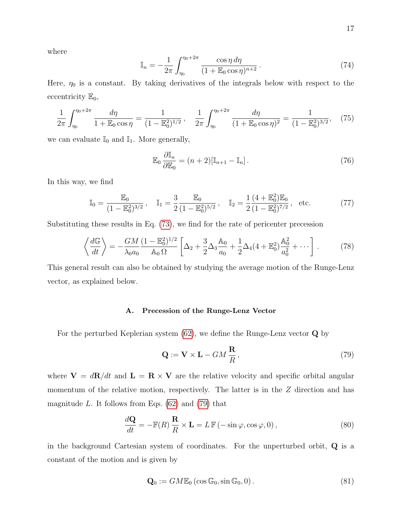where

<span id="page-16-2"></span>
$$
\mathbb{I}_n = -\frac{1}{2\pi} \int_{\eta_0}^{\eta_0 + 2\pi} \frac{\cos \eta \, d\eta}{(1 + \mathbb{E}_0 \cos \eta)^{n+2}}.
$$
\n(74)

Here,  $\eta_0$  is a constant. By taking derivatives of the integrals below with respect to the eccentricity  $\mathbb{E}_0$ ,

$$
\frac{1}{2\pi} \int_{\eta_0}^{\eta_0 + 2\pi} \frac{d\eta}{1 + \mathbb{E}_0 \cos \eta} = \frac{1}{(1 - \mathbb{E}_0^2)^{1/2}}, \quad \frac{1}{2\pi} \int_{\eta_0}^{\eta_0 + 2\pi} \frac{d\eta}{(1 + \mathbb{E}_0 \cos \eta)^2} = \frac{1}{(1 - \mathbb{E}_0^2)^{3/2}}, \quad (75)
$$

we can evaluate  $\mathbb{I}_0$  and  $\mathbb{I}_1$ . More generally,

$$
\mathbb{E}_0 \frac{\partial \mathbb{I}_n}{\partial \mathbb{E}_0} = (n+2)[\mathbb{I}_{n+1} - \mathbb{I}_n].
$$
\n(76)

In this way, we find

$$
\mathbb{I}_0 = \frac{\mathbb{E}_0}{(1 - \mathbb{E}_0^2)^{3/2}}, \quad \mathbb{I}_1 = \frac{3}{2} \frac{\mathbb{E}_0}{(1 - \mathbb{E}_0^2)^{5/2}}, \quad \mathbb{I}_2 = \frac{1}{2} \frac{(4 + \mathbb{E}_0^2)\mathbb{E}_0}{(1 - \mathbb{E}_0^2)^{7/2}}, \text{ etc.}
$$
 (77)

Substituting these results in Eq. [\(73\)](#page-15-3), we find for the rate of pericenter precession

$$
\left\langle \frac{d\mathbb{G}}{dt} \right\rangle = -\frac{GM}{\lambda_0 a_0} \frac{(1 - \mathbb{E}_0^2)^{1/2}}{\mathbb{A}_0 \Omega} \left[ \Delta_2 + \frac{3}{2} \Delta_3 \frac{\mathbb{A}_0}{a_0} + \frac{1}{2} \Delta_4 (4 + \mathbb{E}_0^2) \frac{\mathbb{A}_0^2}{a_0^2} + \cdots \right]. \tag{78}
$$

This general result can also be obtained by studying the average motion of the Runge-Lenz vector, as explained below.

## A. Precession of the Runge-Lenz Vector

For the perturbed Keplerian system  $(62)$ , we define the Runge-Lenz vector  $\mathbf Q$  by

<span id="page-16-0"></span>
$$
\mathbf{Q} := \mathbf{V} \times \mathbf{L} - GM\frac{\mathbf{R}}{R},\tag{79}
$$

where  $V = dR/dt$  and  $L = R \times V$  are the relative velocity and specific orbital angular momentum of the relative motion, respectively. The latter is in the  $Z$  direction and has magnitude  $L$ . It follows from Eqs. [\(62\)](#page-14-0) and [\(79\)](#page-16-0) that

<span id="page-16-1"></span>
$$
\frac{d\mathbf{Q}}{dt} = -\mathbb{F}(R)\frac{\mathbf{R}}{R} \times \mathbf{L} = L\mathbb{F}(-\sin\varphi, \cos\varphi, 0),\tag{80}
$$

in the background Cartesian system of coordinates. For the unperturbed orbit, Q is a constant of the motion and is given by

$$
\mathbf{Q}_0 := GM\mathbb{E}_0 \left(\cos \mathbb{G}_0, \sin \mathbb{G}_0, 0\right). \tag{81}
$$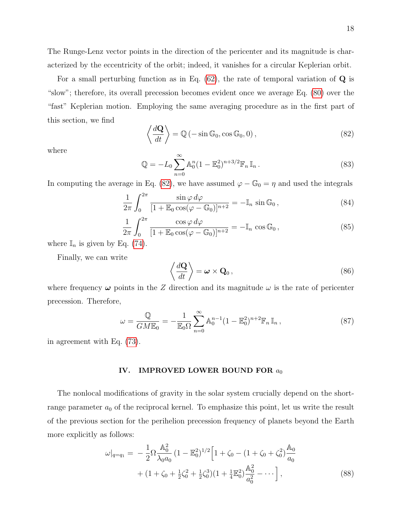The Runge-Lenz vector points in the direction of the pericenter and its magnitude is characterized by the eccentricity of the orbit; indeed, it vanishes for a circular Keplerian orbit.

For a small perturbing function as in Eq.  $(62)$ , the rate of temporal variation of Q is "slow"; therefore, its overall precession becomes evident once we average Eq. [\(80\)](#page-16-1) over the "fast" Keplerian motion. Employing the same averaging procedure as in the first part of this section, we find

<span id="page-17-0"></span>
$$
\left\langle \frac{d\mathbf{Q}}{dt} \right\rangle = \mathbb{Q} \left( -\sin \mathbb{G}_0, \cos \mathbb{G}_0, 0 \right),\tag{82}
$$

where

$$
\mathbb{Q} = -L_0 \sum_{n=0}^{\infty} \mathbb{A}_0^n (1 - \mathbb{E}_0^2)^{n+3/2} \mathbb{F}_n \mathbb{I}_n.
$$
\n(83)

In computing the average in Eq. [\(82\)](#page-17-0), we have assumed  $\varphi - \mathbb{G}_0 = \eta$  and used the integrals

$$
\frac{1}{2\pi} \int_0^{2\pi} \frac{\sin \varphi \, d\varphi}{\left[1 + \mathbb{E}_0 \cos(\varphi - \mathbb{G}_0)\right]^{n+2}} = -\mathbb{I}_n \sin \mathbb{G}_0, \tag{84}
$$

$$
\frac{1}{2\pi} \int_0^{2\pi} \frac{\cos \varphi \, d\varphi}{[1 + \mathbb{E}_0 \cos(\varphi - \mathbb{G}_0)]^{n+2}} = -\mathbb{I}_n \cos \mathbb{G}_0,
$$
\n(85)

where  $\mathbb{I}_n$  is given by Eq. [\(74\)](#page-16-2).

Finally, we can write

$$
\left\langle \frac{d\mathbf{Q}}{dt} \right\rangle = \boldsymbol{\omega} \times \mathbf{Q}_0, \qquad (86)
$$

where frequency  $\omega$  points in the Z direction and its magnitude  $\omega$  is the rate of pericenter precession. Therefore,

$$
\omega = \frac{\mathbb{Q}}{GM\mathbb{E}_0} = -\frac{1}{\mathbb{E}_0 \Omega} \sum_{n=0}^{\infty} \mathbb{A}_0^{n-1} (1 - \mathbb{E}_0^2)^{n+2} \mathbb{F}_n \mathbb{I}_n ,
$$
\n(87)

in agreement with Eq. [\(73\)](#page-15-3).

IV. IMPROVED LOWER BOUND FOR  $a_0$ 

The nonlocal modifications of gravity in the solar system crucially depend on the shortrange parameter  $a_0$  of the reciprocal kernel. To emphasize this point, let us write the result of the previous section for the perihelion precession frequency of planets beyond the Earth more explicitly as follows:

$$
\omega|_{q=q_1} = -\frac{1}{2} \Omega \frac{\mathbb{A}_0^2}{\lambda_0 a_0} (1 - \mathbb{E}_0^2)^{1/2} \Big[ 1 + \zeta_0 - (1 + \zeta_0 + \zeta_0^2) \frac{\mathbb{A}_0}{a_0} + (1 + \zeta_0 + \frac{1}{2} \zeta_0^2 + \frac{1}{2} \zeta_0^3)(1 + \frac{1}{4} \mathbb{E}_0^2) \frac{\mathbb{A}_0^2}{a_0^2} - \cdots \Big],
$$
\n(88)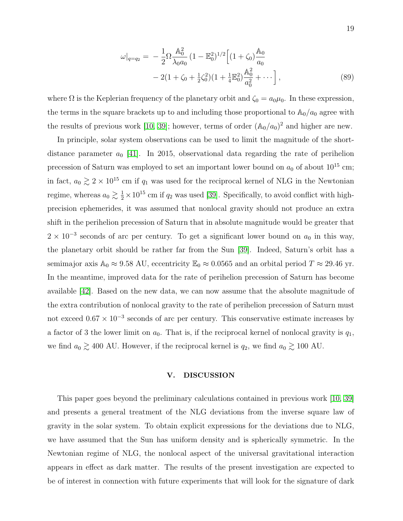$$
\omega|_{q=q_2} = -\frac{1}{2} \Omega \frac{\mathbb{A}_0^2}{\lambda_0 a_0} (1 - \mathbb{E}_0^2)^{1/2} \Big[ (1 + \zeta_0) \frac{\mathbb{A}_0}{a_0} \n- 2(1 + \zeta_0 + \frac{1}{2} \zeta_0^2)(1 + \frac{1}{4} \mathbb{E}_0^2) \frac{\mathbb{A}_0^2}{a_0^2} + \cdots \Big],
$$
\n(89)

where  $\Omega$  is the Keplerian frequency of the planetary orbit and  $\zeta_0 = a_0\mu_0$ . In these expression, the terms in the square brackets up to and including those proportional to  $\mathbb{A}_0/a_0$  agree with the results of previous work [\[10,](#page-23-6) [39\]](#page-25-8); however, terms of order  $(\mathbb{A}_0/a_0)^2$  and higher are new.

In principle, solar system observations can be used to limit the magnitude of the shortdistance parameter  $a_0$  [\[41\]](#page-26-1). In 2015, observational data regarding the rate of perihelion precession of Saturn was employed to set an important lower bound on  $a_0$  of about  $10^{15}$  cm; in fact,  $a_0 \gtrsim 2 \times 10^{15}$  cm if  $q_1$  was used for the reciprocal kernel of NLG in the Newtonian regime, whereas  $a_0 \gtrsim \frac{1}{2} \times 10^{15}$  cm if  $q_2$  was used [\[39\]](#page-25-8). Specifically, to avoid conflict with highprecision ephemerides, it was assumed that nonlocal gravity should not produce an extra shift in the perihelion precession of Saturn that in absolute magnitude would be greater that  $2 \times 10^{-3}$  seconds of arc per century. To get a significant lower bound on  $a_0$  in this way, the planetary orbit should be rather far from the Sun [\[39\]](#page-25-8). Indeed, Saturn's orbit has a semimajor axis  $\mathbb{A}_0 \approx 9.58$  AU, eccentricity  $\mathbb{E}_0 \approx 0.0565$  and an orbital period  $T \approx 29.46$  yr. In the meantime, improved data for the rate of perihelion precession of Saturn has become available [\[42\]](#page-26-2). Based on the new data, we can now assume that the absolute magnitude of the extra contribution of nonlocal gravity to the rate of perihelion precession of Saturn must not exceed  $0.67 \times 10^{-3}$  seconds of arc per century. This conservative estimate increases by a factor of 3 the lower limit on  $a_0$ . That is, if the reciprocal kernel of nonlocal gravity is  $q_1$ , we find  $a_0 \gtrsim 400$  AU. However, if the reciprocal kernel is  $q_2$ , we find  $a_0 \gtrsim 100$  AU.

# V. DISCUSSION

This paper goes beyond the preliminary calculations contained in previous work [\[10,](#page-23-6) [39\]](#page-25-8) and presents a general treatment of the NLG deviations from the inverse square law of gravity in the solar system. To obtain explicit expressions for the deviations due to NLG, we have assumed that the Sun has uniform density and is spherically symmetric. In the Newtonian regime of NLG, the nonlocal aspect of the universal gravitational interaction appears in effect as dark matter. The results of the present investigation are expected to be of interest in connection with future experiments that will look for the signature of dark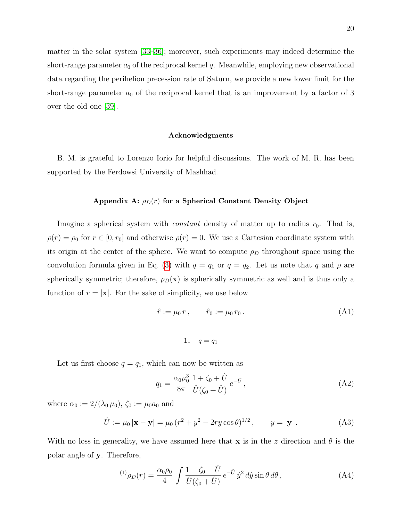matter in the solar system [\[33–](#page-25-4)[36\]](#page-25-5); moreover, such experiments may indeed determine the short-range parameter  $a_0$  of the reciprocal kernel q. Meanwhile, employing new observational data regarding the perihelion precession rate of Saturn, we provide a new lower limit for the short-range parameter  $a_0$  of the reciprocal kernel that is an improvement by a factor of 3 over the old one [\[39\]](#page-25-8).

### Acknowledgments

B. M. is grateful to Lorenzo Iorio for helpful discussions. The work of M. R. has been supported by the Ferdowsi University of Mashhad.

## Appendix A:  $\rho_D(r)$  for a Spherical Constant Density Object

Imagine a spherical system with *constant* density of matter up to radius  $r_0$ . That is,  $\rho(r) = \rho_0$  for  $r \in [0, r_0]$  and otherwise  $\rho(r) = 0$ . We use a Cartesian coordinate system with its origin at the center of the sphere. We want to compute  $\rho_D$  throughout space using the convolution formula given in Eq. [\(3\)](#page-3-1) with  $q = q_1$  or  $q = q_2$ . Let us note that q and  $\rho$  are spherically symmetric; therefore,  $\rho_D(\mathbf{x})$  is spherically symmetric as well and is thus only a function of  $r = |\mathbf{x}|$ . For the sake of simplicity, we use below

$$
\hat{r} := \mu_0 r \,, \qquad \hat{r}_0 := \mu_0 r_0 \,.
$$
\n(A1)

1.  $q = q_1$ 

Let us first choose  $q = q_1$ , which can now be written as

$$
q_1 = \frac{\alpha_0 \mu_0^3}{8\pi} \frac{1 + \zeta_0 + \hat{U}}{\hat{U}(\zeta_0 + \hat{U})} e^{-\hat{U}}, \tag{A2}
$$

where  $\alpha_0 := 2/(\lambda_0 \mu_0)$ ,  $\zeta_0 := \mu_0 a_0$  and

$$
\hat{U} := \mu_0 |\mathbf{x} - \mathbf{y}| = \mu_0 (r^2 + y^2 - 2ry \cos \theta)^{1/2}, \qquad y = |\mathbf{y}|.
$$
 (A3)

With no loss in generality, we have assumed here that **x** is in the z direction and  $\theta$  is the polar angle of y. Therefore,

$$
^{(1)}\rho_D(r) = \frac{\alpha_0 \rho_0}{4} \int \frac{1 + \zeta_0 + \hat{U}}{\hat{U}(\zeta_0 + \hat{U})} e^{-\hat{U}} \hat{y}^2 d\hat{y} \sin \theta d\theta, \qquad (A4)
$$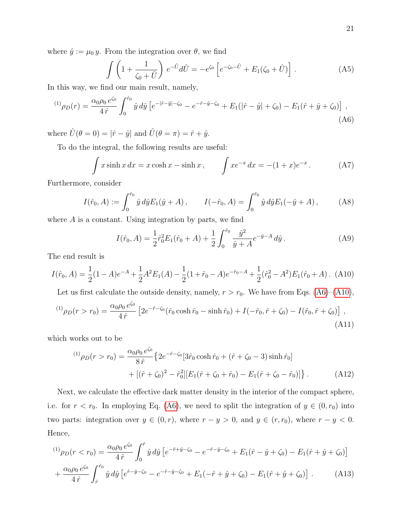where  $\hat{y} := \mu_0 y$ . From the integration over  $\theta$ , we find

$$
\int \left(1 + \frac{1}{\zeta_0 + \hat{U}}\right) e^{-\hat{U}} d\hat{U} = -e^{\zeta_0} \left[e^{-\zeta_0 - \hat{U}} + E_1(\zeta_0 + \hat{U})\right].
$$
\n(A5)

In this way, we find our main result, namely,

<span id="page-20-0"></span>
$$
^{(1)}\rho_D(r) = \frac{\alpha_0 \rho_0 e^{\zeta_0}}{4 \hat{r}} \int_0^{\hat{r}_0} \hat{y} \, d\hat{y} \left[ e^{-|\hat{r}-\hat{y}|-\zeta_0} - e^{-\hat{r}-\hat{y}-\zeta_0} + E_1(|\hat{r}-\hat{y}|+\zeta_0) - E_1(\hat{r}+\hat{y}+\zeta_0) \right] \,, \tag{A6}
$$

where  $\hat{U}(\theta = 0) = |\hat{r} - \hat{y}|$  and  $\hat{U}(\theta = \pi) = \hat{r} + \hat{y}$ .

To do the integral, the following results are useful:

$$
\int x \sinh x \, dx = x \cosh x - \sinh x \,, \qquad \int x e^{-x} \, dx = -(1+x)e^{-x} \,. \tag{A7}
$$

Furthermore, consider

$$
I(\hat{r}_0, A) := \int_0^{\hat{r}_0} \hat{y} \, d\hat{y} E_1(\hat{y} + A) \,, \qquad I(-\hat{r}_0, A) = \int_0^{\hat{r}_0} \hat{y} \, d\hat{y} E_1(-\hat{y} + A) \,, \tag{A8}
$$

where  $A$  is a constant. Using integration by parts, we find

$$
I(\hat{r}_0, A) = \frac{1}{2} \hat{r}_0^2 E_1(\hat{r}_0 + A) + \frac{1}{2} \int_0^{\hat{r}_0} \frac{\hat{y}^2}{\hat{y} + A} e^{-\hat{y} - A} d\hat{y}.
$$
 (A9)

The end result is

<span id="page-20-1"></span>
$$
I(\hat{r}_0, A) = \frac{1}{2}(1 - A)e^{-A} + \frac{1}{2}A^2 E_1(A) - \frac{1}{2}(1 + \hat{r}_0 - A)e^{-\hat{r}_0 - A} + \frac{1}{2}(\hat{r}_0^2 - A^2)E_1(\hat{r}_0 + A).
$$
 (A10)

Let us first calculate the outside density, namely,  $r > r_0$ . We have from Eqs. [\(A6\)](#page-20-0)–[\(A10\)](#page-20-1),

$$
{}^{(1)}\rho_D(r>r_0) = \frac{\alpha_0 \rho_0 e^{\zeta_0}}{4 \hat{r}} \left[2e^{-\hat{r}-\zeta_0}(\hat{r}_0 \cosh \hat{r}_0 - \sinh \hat{r}_0) + I(-\hat{r}_0, \hat{r}+\zeta_0) - I(\hat{r}_0, \hat{r}+\zeta_0)\right],
$$
\n(A11)

which works out to be

$$
^{(1)}\rho_D(r>r_0) = \frac{\alpha_0 \rho_0 e^{\zeta_0}}{8 \hat{r}} \left\{ 2e^{-\hat{r}-\zeta_0} \left[ 3\hat{r}_0 \cosh \hat{r}_0 + (\hat{r}+\zeta_0-3) \sinh \hat{r}_0 \right] \right. \\ \left. + \left[ (\hat{r}+\zeta_0)^2 - \hat{r}_0^2 \right] \left[ E_1(\hat{r}+\zeta_0+\hat{r}_0) - E_1(\hat{r}+\zeta_0-\hat{r}_0) \right] \right\} . \tag{A12}
$$

Next, we calculate the effective dark matter density in the interior of the compact sphere, i.e. for  $r < r_0$ . In employing Eq. [\(A6\)](#page-20-0), we need to split the integration of  $y \in (0, r_0)$  into two parts: integration over  $y \in (0, r)$ , where  $r - y > 0$ , and  $y \in (r, r_0)$ , where  $r - y < 0$ . Hence,

$$
{}^{(1)}\rho_D(r < r_0) = \frac{\alpha_0 \rho_0 \, e^{\zeta_0}}{4 \, \hat{r}} \int_0^{\hat{r}} \hat{y} \, d\hat{y} \left[ e^{-\hat{r} + \hat{y} - \zeta_0} - e^{-\hat{r} - \hat{y} - \zeta_0} + E_1(\hat{r} - \hat{y} + \zeta_0) - E_1(\hat{r} + \hat{y} + \zeta_0) \right] + \frac{\alpha_0 \rho_0 \, e^{\zeta_0}}{4 \, \hat{r}} \int_{\hat{r}}^{\hat{r}_0} \hat{y} \, d\hat{y} \left[ e^{\hat{r} - \hat{y} - \zeta_0} - e^{-\hat{r} - \hat{y} - \zeta_0} + E_1(-\hat{r} + \hat{y} + \zeta_0) - E_1(\hat{r} + \hat{y} + \zeta_0) \right]. \tag{A13}
$$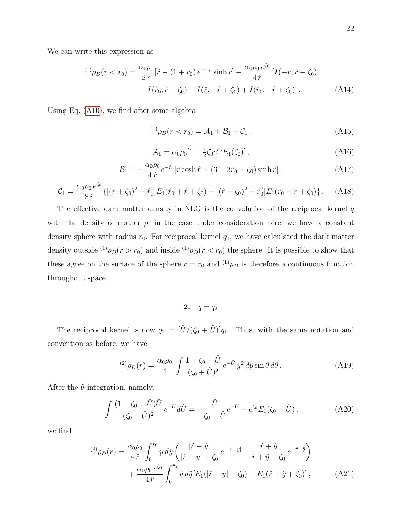We can write this expression as

$$
{}^{(1)}\rho_D(r < r_0) = \frac{\alpha_0 \rho_0}{2 \hat{r}} [\hat{r} - (1 + \hat{r}_0) e^{-\hat{r}_0} \sinh \hat{r}] + \frac{\alpha_0 \rho_0 e^{\zeta_0}}{4 \hat{r}} [I(-\hat{r}, \hat{r} + \zeta_0) - I(\hat{r}_0, \hat{r} + \zeta_0) - I(\hat{r}, -\hat{r} + \zeta_0) + I(\hat{r}_0, -\hat{r} + \zeta_0)].
$$
\n(A14)

Using Eq. [\(A10\)](#page-20-1), we find after some algebra

$$
^{(1)}\rho_D(r < r_0) = \mathcal{A}_1 + \mathcal{B}_1 + \mathcal{C}_1, \qquad (A15)
$$

$$
\mathcal{A}_1 = \alpha_0 \rho_0 [1 - \frac{1}{2} \zeta_0 e^{\zeta_0} E_1(\zeta_0)], \qquad (A16)
$$

$$
\mathcal{B}_1 = -\frac{\alpha_0 \rho_0}{4 \hat{r}} e^{-\hat{r}_0} [\hat{r} \cosh \hat{r} + (3 + 3\hat{r}_0 - \zeta_0) \sinh \hat{r}], \qquad (A17)
$$

$$
C_1 = \frac{\alpha_0 \rho_0 e^{\zeta_0}}{8 \hat{r}} \{ [(\hat{r} + \zeta_0)^2 - \hat{r}_0^2] E_1(\hat{r}_0 + \hat{r} + \zeta_0) - [(\hat{r} - \zeta_0)^2 - \hat{r}_0^2] E_1(\hat{r}_0 - \hat{r} + \zeta_0) \} .
$$
 (A18)

The effective dark matter density in NLG is the convolution of the reciprocal kernel  $q$ with the density of matter  $\rho$ ; in the case under consideration here, we have a constant density sphere with radius  $r_0$ . For reciprocal kernel  $q_1$ , we have calculated the dark matter density outside <sup>(1)</sup> $\rho_D(r > r_0)$  and inside <sup>(1)</sup> $\rho_D(r < r_0)$  the sphere. It is possible to show that these agree on the surface of the sphere  $r = r_0$  and  $^{(1)}\rho_D$  is therefore a continuous function throughout space.

**2.**  $q = q_2$ 

The reciprocal kernel is now  $q_2 = [\hat{U}/(\zeta_0 + \hat{U})]q_1$ . Thus, with the same notation and convention as before, we have

$$
^{(2)}\rho_D(r) = \frac{\alpha_0 \rho_0}{4} \int \frac{1 + \zeta_0 + \hat{U}}{(\zeta_0 + \hat{U})^2} e^{-\hat{U}} \hat{y}^2 d\hat{y} \sin \theta d\theta.
$$
 (A19)

After the  $\theta$  integration, namely,

$$
\int \frac{(1+\zeta_0+\hat{U})\hat{U}}{(\zeta_0+\hat{U})^2} e^{-\hat{U}} d\hat{U} = -\frac{\hat{U}}{\zeta_0+\hat{U}} e^{-\hat{U}} - e^{\zeta_0} E_1(\zeta_0+\hat{U}), \tag{A20}
$$

we find

$$
^{(2)}\rho_D(r) = \frac{\alpha_0 \rho_0}{4 \hat{r}} \int_0^{\hat{r}_0} \hat{y} \, d\hat{y} \left( \frac{|\hat{r} - \hat{y}|}{|\hat{r} - \hat{y}| + \zeta_0} e^{-|\hat{r} - \hat{y}|} - \frac{\hat{r} + \hat{y}}{\hat{r} + \hat{y} + \zeta_0} e^{-\hat{r} - \hat{y}} \right) + \frac{\alpha_0 \rho_0 e^{\zeta_0}}{4 \hat{r}} \int_0^{\hat{r}_0} \hat{y} \, d\hat{y} [E_1(|\hat{r} - \hat{y}| + \zeta_0) - E_1(\hat{r} + \hat{y} + \zeta_0)], \tag{A21}
$$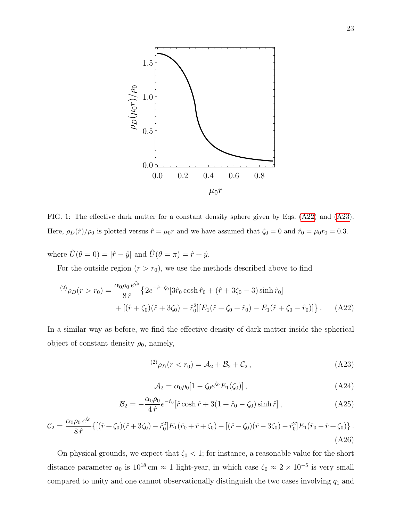

<span id="page-22-2"></span>FIG. 1: The effective dark matter for a constant density sphere given by Eqs. [\(A22\)](#page-22-0) and [\(A23\)](#page-22-1). Here,  $\rho_D(\hat{r})/\rho_0$  is plotted versus  $\hat{r} = \mu_0 r$  and we have assumed that  $\zeta_0 = 0$  and  $\hat{r}_0 = \mu_0 r_0 = 0.3$ .

where  $\hat{U}(\theta = 0) = |\hat{r} - \hat{y}|$  and  $\hat{U}(\theta = \pi) = \hat{r} + \hat{y}$ .

For the outside region  $(r > r_0)$ , we use the methods described above to find

$$
^{(2)}\rho_D(r>r_0) = \frac{\alpha_0 \rho_0 e^{\zeta_0}}{8 \hat{r}} \left\{ 2e^{-\hat{r}-\zeta_0} \left[ 3\hat{r}_0 \cosh \hat{r}_0 + (\hat{r}+3\zeta_0-3) \sinh \hat{r}_0 \right] \right. \\ \left. + \left[ (\hat{r}+\zeta_0)(\hat{r}+3\zeta_0) - \hat{r}_0^2 \right] \left[ E_1(\hat{r}+\zeta_0+\hat{r}_0) - E_1(\hat{r}+\zeta_0-\hat{r}_0) \right] \right\} . \tag{A22}
$$

In a similar way as before, we find the effective density of dark matter inside the spherical object of constant density  $\rho_0$ , namely,

<span id="page-22-1"></span><span id="page-22-0"></span>
$$
^{(2)}\rho_D(r
$$

$$
A_2 = \alpha_0 \rho_0 [1 - \zeta_0 e^{\zeta_0} E_1(\zeta_0)], \qquad (A24)
$$

$$
\mathcal{B}_2 = -\frac{\alpha_0 \rho_0}{4 \hat{r}} e^{-\hat{r}_0} [\hat{r} \cosh \hat{r} + 3(1 + \hat{r}_0 - \zeta_0) \sinh \hat{r}], \qquad (A25)
$$

$$
C_2 = \frac{\alpha_0 \rho_0 e^{\zeta_0}}{8 \hat{r}} \{ [(\hat{r} + \zeta_0)(\hat{r} + 3\zeta_0) - \hat{r}_0^2] E_1(\hat{r}_0 + \hat{r} + \zeta_0) - [(\hat{r} - \zeta_0)(\hat{r} - 3\zeta_0) - \hat{r}_0^2] E_1(\hat{r}_0 - \hat{r} + \zeta_0) \}.
$$
\n(A26)

On physical grounds, we expect that  $\zeta_0 < 1$ ; for instance, a reasonable value for the short distance parameter  $a_0$  is  $10^{18}$  cm  $\approx 1$  light-year, in which case  $\zeta_0 \approx 2 \times 10^{-5}$  is very small compared to unity and one cannot observationally distinguish the two cases involving  $q_1$  and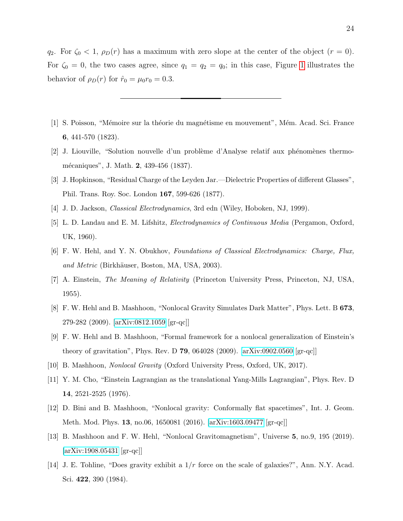$q_2$ . For  $\zeta_0 < 1$ ,  $\rho_D(r)$  has a maximum with zero slope at the center of the object  $(r = 0)$ . For  $\zeta_0 = 0$ , the two cases agree, since  $q_1 = q_2 = q_0$ ; in this case, Figure [1](#page-22-2) illustrates the behavior of  $\rho_D(r)$  for  $\hat{r}_0 = \mu_0 r_0 = 0.3$ .

- <span id="page-23-0"></span>[1] S. Poisson, "Mémoire sur la théorie du magnétisme en mouvement", Mém. Acad. Sci. France 6, 441-570 (1823).
- [2] J. Liouville, "Solution nouvelle d'un problème d'Analyse relatif aux phénomènes thermomécaniques", J. Math. 2, 439-456 (1837).
- <span id="page-23-1"></span>[3] J. Hopkinson, "Residual Charge of the Leyden Jar.—Dielectric Properties of different Glasses", Phil. Trans. Roy. Soc. London 167, 599-626 (1877).
- <span id="page-23-2"></span>[4] J. D. Jackson, Classical Electrodynamics, 3rd edn (Wiley, Hoboken, NJ, 1999).
- [5] L. D. Landau and E. M. Lifshitz, Electrodynamics of Continuous Media (Pergamon, Oxford, UK, 1960).
- <span id="page-23-3"></span>[6] F. W. Hehl, and Y. N. Obukhov, Foundations of Classical Electrodynamics: Charge, Flux, and Metric (Birkhäuser, Boston, MA, USA, 2003).
- <span id="page-23-4"></span>[7] A. Einstein, The Meaning of Relativity (Princeton University Press, Princeton, NJ, USA, 1955).
- <span id="page-23-5"></span>[8] F. W. Hehl and B. Mashhoon, "Nonlocal Gravity Simulates Dark Matter", Phys. Lett. B 673, 279-282 (2009). [\[arXiv:0812.1059](http://arxiv.org/abs/0812.1059) [gr-qc]]
- <span id="page-23-11"></span>[9] F. W. Hehl and B. Mashhoon, "Formal framework for a nonlocal generalization of Einstein's theory of gravitation", Phys. Rev. D 79, 064028 (2009). [\[arXiv:0902.0560](http://arxiv.org/abs/0902.0560) [gr-qc]]
- <span id="page-23-7"></span><span id="page-23-6"></span>[10] B. Mashhoon, Nonlocal Gravity (Oxford University Press, Oxford, UK, 2017).
- [11] Y. M. Cho, "Einstein Lagrangian as the translational Yang-Mills Lagrangian", Phys. Rev. D 14, 2521-2525 (1976).
- <span id="page-23-8"></span>[12] D. Bini and B. Mashhoon, "Nonlocal gravity: Conformally flat spacetimes", Int. J. Geom. Meth. Mod. Phys. 13, no.06, 1650081 (2016). [\[arXiv:1603.09477](http://arxiv.org/abs/1603.09477) [gr-qc]]
- <span id="page-23-9"></span>[13] B. Mashhoon and F. W. Hehl, "Nonlocal Gravitomagnetism", Universe 5, no.9, 195 (2019). [\[arXiv:1908.05431](http://arxiv.org/abs/1908.05431) [gr-qc]]
- <span id="page-23-10"></span>[14] J. E. Tohline, "Does gravity exhibit a 1/r force on the scale of galaxies?", Ann. N.Y. Acad. Sci. 422, 390 (1984).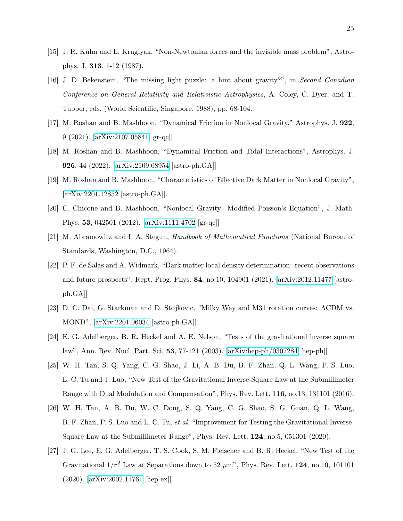- [15] J. R. Kuhn and L. Kruglyak, "Non-Newtonian forces and the invisible mass problem", Astrophys. J. 313, 1-12 (1987).
- <span id="page-24-0"></span>[16] J. D. Bekenstein, "The missing light puzzle: a hint about gravity?", in Second Canadian Conference on General Relativity and Relativistic Astrophysics, A. Coley, C. Dyer, and T. Tupper, eds. (World Scientific, Singapore, 1988), pp. 68-104.
- <span id="page-24-1"></span>[17] M. Roshan and B. Mashhoon, "Dynamical Friction in Nonlocal Gravity," Astrophys. J. 922, 9 (2021). [\[arXiv:2107.05841](http://arxiv.org/abs/2107.05841) [gr-qc]]
- [18] M. Roshan and B. Mashhoon, "Dynamical Friction and Tidal Interactions", Astrophys. J. 926, 44 (2022). [\[arXiv:2109.08954](http://arxiv.org/abs/2109.08954) [astro-ph.GA]]
- <span id="page-24-2"></span>[19] M. Roshan and B. Mashhoon, "Characteristics of Effective Dark Matter in Nonlocal Gravity", [\[arXiv:2201.12852](http://arxiv.org/abs/2201.12852) [astro-ph.GA]].
- <span id="page-24-3"></span>[20] C. Chicone and B. Mashhoon, "Nonlocal Gravity: Modified Poisson's Equation", J. Math. Phys. 53, 042501 (2012). [\[arXiv:1111.4702](http://arxiv.org/abs/1111.4702) [gr-qc]]
- <span id="page-24-4"></span>[21] M. Abramowitz and I. A. Stegun, Handbook of Mathematical Functions (National Bureau of Standards, Washington, D.C., 1964).
- <span id="page-24-5"></span>[22] P. F. de Salas and A. Widmark, "Dark matter local density determination: recent observations and future prospects", Rept. Prog. Phys. 84, no.10, 104901 (2021). [\[arXiv:2012.11477](http://arxiv.org/abs/2012.11477) [astroph.GA]]
- <span id="page-24-6"></span>[23] D. C. Dai, G. Starkman and D. Stojkovic, "Milky Way and M31 rotation curves: ΛCDM vs. MOND", [\[arXiv:2201.06034](http://arxiv.org/abs/2201.06034) [astro-ph.GA]].
- <span id="page-24-7"></span>[24] E. G. Adelberger, B. R. Heckel and A. E. Nelson, "Tests of the gravitational inverse square law", Ann. Rev. Nucl. Part. Sci. 53, 77-121 (2003). [\[arXiv:hep-ph/0307284](http://arxiv.org/abs/hep-ph/0307284) [hep-ph]]
- [25] W. H. Tan, S. Q. Yang, C. G. Shao, J. Li, A. B. Du, B. F. Zhan, Q. L. Wang, P. S. Luo, L. C. Tu and J. Luo, "New Test of the Gravitational Inverse-Square Law at the Submillimeter Range with Dual Modulation and Compensation", Phys. Rev. Lett. 116, no.13, 131101 (2016).
- [26] W. H. Tan, A. B. Du, W. C. Dong, S. Q. Yang, C. G. Shao, S. G. Guan, Q. L. Wang, B. F. Zhan, P. S. Luo and L. C. Tu, et al. "Improvement for Testing the Gravitational Inverse-Square Law at the Submillimeter Range", Phys. Rev. Lett. 124, no.5, 051301 (2020).
- [27] J. G. Lee, E. G. Adelberger, T. S. Cook, S. M. Fleischer and B. R. Heckel, "New Test of the Gravitational  $1/r^2$  Law at Separations down to 52  $\mu$ m", Phys. Rev. Lett. 124, no.10, 101101 (2020). [\[arXiv:2002.11761](http://arxiv.org/abs/2002.11761) [hep-ex]]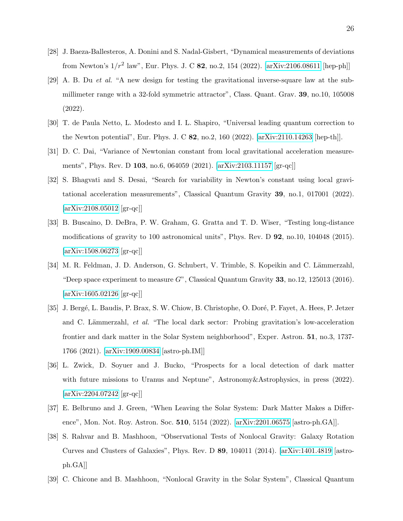- [28] J. Baeza-Ballesteros, A. Donini and S. Nadal-Gisbert, "Dynamical measurements of deviations from Newton's  $1/r^2$  law", Eur. Phys. J. C 82, no.2, 154 (2022). [\[arXiv:2106.08611](http://arxiv.org/abs/2106.08611) [hep-ph]]
- <span id="page-25-0"></span>[29] A. B. Du et al. "A new design for testing the gravitational inverse-square law at the submillimeter range with a 32-fold symmetric attractor", Class. Quant. Grav. 39, no.10, 105008 (2022).
- <span id="page-25-1"></span>[30] T. de Paula Netto, L. Modesto and I. L. Shapiro, "Universal leading quantum correction to the Newton potential", Eur. Phys. J. C 82, no.2, 160 (2022). [\[arXiv:2110.14263](http://arxiv.org/abs/2110.14263) [hep-th]].
- <span id="page-25-2"></span>[31] D. C. Dai, "Variance of Newtonian constant from local gravitational acceleration measurements", Phys. Rev. D 103, no.6, 064059 (2021). [\[arXiv:2103.11157](http://arxiv.org/abs/2103.11157) [gr-qc]]
- <span id="page-25-3"></span>[32] S. Bhagvati and S. Desai, "Search for variability in Newton's constant using local gravitational acceleration measurements", Classical Quantum Gravity 39, no.1, 017001 (2022). [\[arXiv:2108.05012](http://arxiv.org/abs/2108.05012) [gr-qc]]
- <span id="page-25-4"></span>[33] B. Buscaino, D. DeBra, P. W. Graham, G. Gratta and T. D. Wiser, "Testing long-distance modifications of gravity to 100 astronomical units", Phys. Rev. D 92, no.10, 104048 (2015). [\[arXiv:1508.06273](http://arxiv.org/abs/1508.06273) [gr-qc]]
- [34] M. R. Feldman, J. D. Anderson, G. Schubert, V. Trimble, S. Kopeikin and C. Lämmerzahl, "Deep space experiment to measure  $G$ ", Classical Quantum Gravity  $33$ , no.12, 125013 (2016). [\[arXiv:1605.02126](http://arxiv.org/abs/1605.02126) [gr-qc]]
- <span id="page-25-9"></span>[35] J. Bergé, L. Baudis, P. Brax, S. W. Chiow, B. Christophe, O. Doré, P. Fayet, A. Hees, P. Jetzer and C. Lämmerzahl, et al. "The local dark sector: Probing gravitation's low-acceleration frontier and dark matter in the Solar System neighborhood", Exper. Astron. 51, no.3, 1737- 1766 (2021). [\[arXiv:1909.00834](http://arxiv.org/abs/1909.00834) [astro-ph.IM]]
- <span id="page-25-5"></span>[36] L. Zwick, D. Soyuer and J. Bucko, "Prospects for a local detection of dark matter with future missions to Uranus and Neptune", Astronomy&Astrophysics, in press (2022). [\[arXiv:2204.07242](http://arxiv.org/abs/2204.07242) [gr-qc]]
- <span id="page-25-6"></span>[37] E. Belbruno and J. Green, "When Leaving the Solar System: Dark Matter Makes a Difference", Mon. Not. Roy. Astron. Soc. 510, 5154 (2022). [\[arXiv:2201.06575](http://arxiv.org/abs/2201.06575) [astro-ph.GA]].
- <span id="page-25-7"></span>[38] S. Rahvar and B. Mashhoon, "Observational Tests of Nonlocal Gravity: Galaxy Rotation Curves and Clusters of Galaxies", Phys. Rev. D 89, 104011 (2014). [\[arXiv:1401.4819](http://arxiv.org/abs/1401.4819) [astroph.GA]]
- <span id="page-25-8"></span>[39] C. Chicone and B. Mashhoon, "Nonlocal Gravity in the Solar System", Classical Quantum